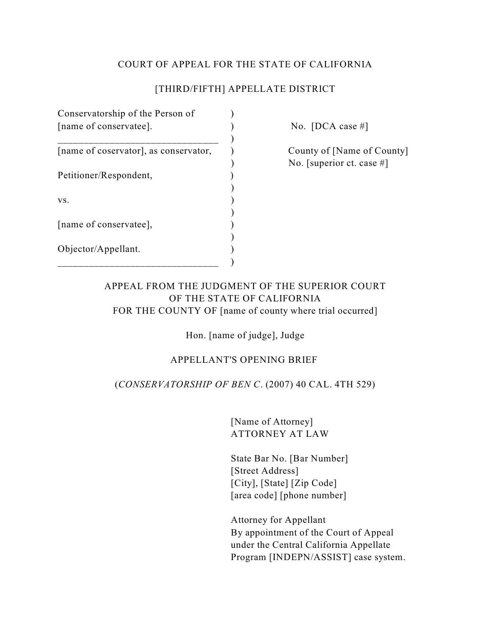## COURT OF APPEAL FOR THE STATE OF CALIFORNIA

## [THIRD/FIFTH] APPELLATE DISTRICT

| Conservatorship of the Person of<br>[name of conservatee]. |  |
|------------------------------------------------------------|--|
| [name of coservator], as conservator,                      |  |
| Petitioner/Respondent,                                     |  |
| VS.                                                        |  |
| [name of conservatee],                                     |  |
| Objector/Appellant.                                        |  |

No.  $[DCA case #]$ 

County of [Name of County] ) No. [superior ct. case #]

## APPEAL FROM THE JUDGMENT OF THE SUPERIOR COURT OF THE STATE OF CALIFORNIA FOR THE COUNTY OF [name of county where trial occurred]

Hon. [name of judge], Judge

# APPELLANT'S OPENING BRIEF

## (*CONSERVATORSHIP OF BEN C*. (2007) 40 CAL. 4TH 529)

[Name of Attorney] ATTORNEY AT LAW

State Bar No. [Bar Number] [Street Address] [City], [State] [Zip Code] [area code] [phone number]

Attorney for Appellant By appointment of the Court of Appeal under the Central California Appellate Program [INDEPN/ASSIST] case system.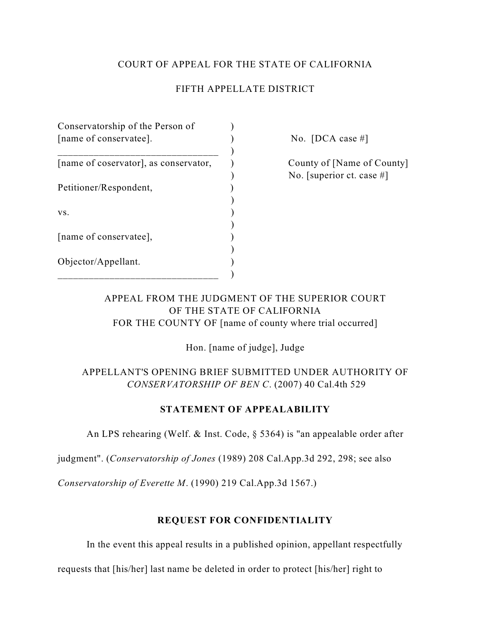## COURT OF APPEAL FOR THE STATE OF CALIFORNIA

## FIFTH APPELLATE DISTRICT

| Conservatorship of the Person of<br>[name of conservatee]. |  |
|------------------------------------------------------------|--|
| [name of coservator], as conservator,                      |  |
| Petitioner/Respondent,                                     |  |
| VS.                                                        |  |
| [name of conservatee],                                     |  |
| Objector/Appellant.                                        |  |

No.  $[DCA case #]$ 

County of [Name of County] ) No. [superior ct. case #]

# APPEAL FROM THE JUDGMENT OF THE SUPERIOR COURT OF THE STATE OF CALIFORNIA FOR THE COUNTY OF [name of county where trial occurred]

Hon. [name of judge], Judge

# APPELLANT'S OPENING BRIEF SUBMITTED UNDER AUTHORITY OF *CONSERVATORSHIP OF BEN C*. (2007) 40 Cal.4th 529

### **STATEMENT OF APPEALABILITY**

An LPS rehearing (Welf. & Inst. Code, § 5364) is "an appealable order after

judgment". (*Conservatorship of Jones* (1989) 208 Cal.App.3d 292, 298; see also

*Conservatorship of Everette M*. (1990) 219 Cal.App.3d 1567.)

### **REQUEST FOR CONFIDENTIALITY**

In the event this appeal results in a published opinion, appellant respectfully

requests that [his/her] last name be deleted in order to protect [his/her] right to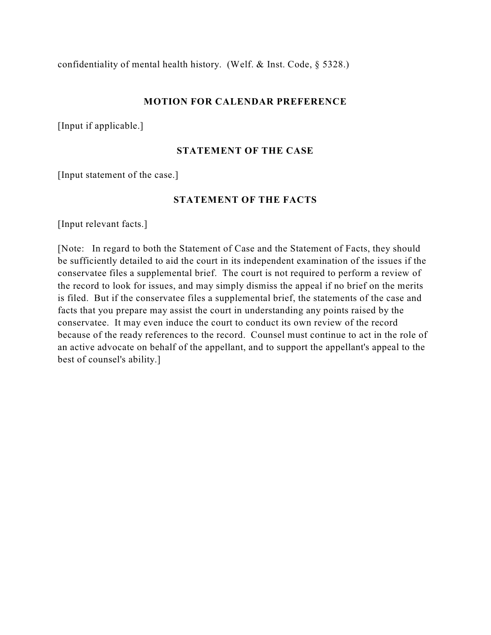confidentiality of mental health history. (Welf. & Inst. Code, § 5328.)

#### **MOTION FOR CALENDAR PREFERENCE**

[Input if applicable.]

#### **STATEMENT OF THE CASE**

[Input statement of the case.]

#### **STATEMENT OF THE FACTS**

[Input relevant facts.]

[Note: In regard to both the Statement of Case and the Statement of Facts, they should be sufficiently detailed to aid the court in its independent examination of the issues if the conservatee files a supplemental brief. The court is not required to perform a review of the record to look for issues, and may simply dismiss the appeal if no brief on the merits is filed. But if the conservatee files a supplemental brief, the statements of the case and facts that you prepare may assist the court in understanding any points raised by the conservatee. It may even induce the court to conduct its own review of the record because of the ready references to the record. Counsel must continue to act in the role of an active advocate on behalf of the appellant, and to support the appellant's appeal to the best of counsel's ability.]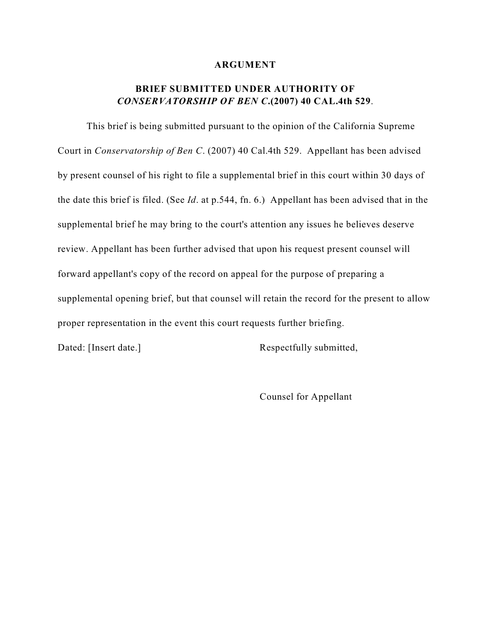#### **ARGUMENT**

# **BRIEF SUBMITTED UNDER AUTHORITY OF** *CONSERVATORSHIP OF BEN C***.(2007) 40 CAL.4th 529**.

This brief is being submitted pursuant to the opinion of the California Supreme Court in *Conservatorship of Ben C*. (2007) 40 Cal.4th 529. Appellant has been advised by present counsel of his right to file a supplemental brief in this court within 30 days of the date this brief is filed. (See *Id*. at p.544, fn. 6.) Appellant has been advised that in the supplemental brief he may bring to the court's attention any issues he believes deserve review. Appellant has been further advised that upon his request present counsel will forward appellant's copy of the record on appeal for the purpose of preparing a supplemental opening brief, but that counsel will retain the record for the present to allow proper representation in the event this court requests further briefing.

Dated: [Insert date.] Respectfully submitted,

Counsel for Appellant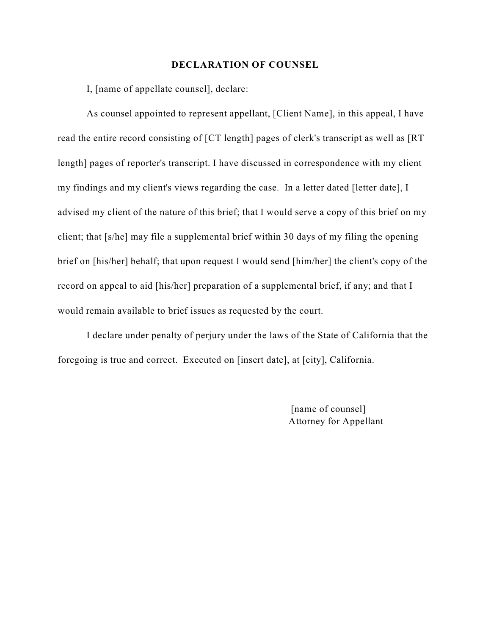#### **DECLARATION OF COUNSEL**

I, [name of appellate counsel], declare:

As counsel appointed to represent appellant, [Client Name], in this appeal, I have read the entire record consisting of [CT length] pages of clerk's transcript as well as [RT length] pages of reporter's transcript. I have discussed in correspondence with my client my findings and my client's views regarding the case. In a letter dated [letter date], I advised my client of the nature of this brief; that I would serve a copy of this brief on my client; that [s/he] may file a supplemental brief within 30 days of my filing the opening brief on [his/her] behalf; that upon request I would send [him/her] the client's copy of the record on appeal to aid [his/her] preparation of a supplemental brief, if any; and that I would remain available to brief issues as requested by the court.

I declare under penalty of perjury under the laws of the State of California that the foregoing is true and correct. Executed on [insert date], at [city], California.

> [name of counsel] Attorney for Appellant